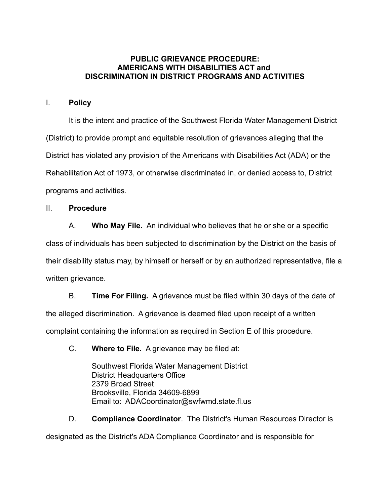## **PUBLIC GRIEVANCE PROCEDURE: AMERICANS WITH DISABILITIES ACT and DISCRIMINATION IN DISTRICT PROGRAMS AND ACTIVITIES**

## I. **Policy**

It is the intent and practice of the Southwest Florida Water Management District (District) to provide prompt and equitable resolution of grievances alleging that the District has violated any provision of the Americans with Disabilities Act (ADA) or the Rehabilitation Act of 1973, or otherwise discriminated in, or denied access to, District programs and activities.

## II. **Procedure**

A. **Who May File.** An individual who believes that he or she or a specific

class of individuals has been subjected to discrimination by the District on the basis of

their disability status may, by himself or herself or by an authorized representative, file a written grievance.

B. **Time For Filing.** A grievance must be filed within 30 days of the date of the alleged discrimination. A grievance is deemed filed upon receipt of a written complaint containing the information as required in Section E of this procedure.

C. **Where to File.** A grievance may be filed at:

Southwest Florida Water Management District District Headquarters Office 2379 Broad Street Brooksville, Florida 34609-6899 Email to: ADACoordinator@swfwmd.state.fl.us

D. **Compliance Coordinator**. The District's Human Resources Director is designated as the District's ADA Compliance Coordinator and is responsible for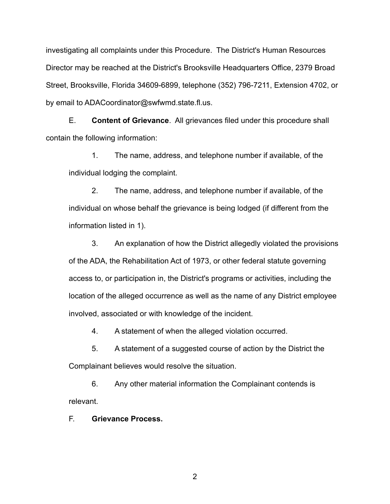investigating all complaints under this Procedure. The District's Human Resources Director may be reached at the District's Brooksville Headquarters Office, 2379 Broad Street, Brooksville, Florida 34609-6899, telephone (352) 796-7211, Extension 4702, or by email to ADACoordinator@swfwmd.state.fl.us.

E. **Content of Grievance**. All grievances filed under this procedure shall contain the following information:

1. The name, address, and telephone number if available, of the individual lodging the complaint.

2. The name, address, and telephone number if available, of the individual on whose behalf the grievance is being lodged (if different from the information listed in 1).

3. An explanation of how the District allegedly violated the provisions of the ADA, the Rehabilitation Act of 1973, or other federal statute governing access to, or participation in, the District's programs or activities, including the location of the alleged occurrence as well as the name of any District employee involved, associated or with knowledge of the incident.

4. A statement of when the alleged violation occurred.

5. A statement of a suggested course of action by the District the Complainant believes would resolve the situation.

6. Any other material information the Complainant contends is relevant.

F. **Grievance Process.**

2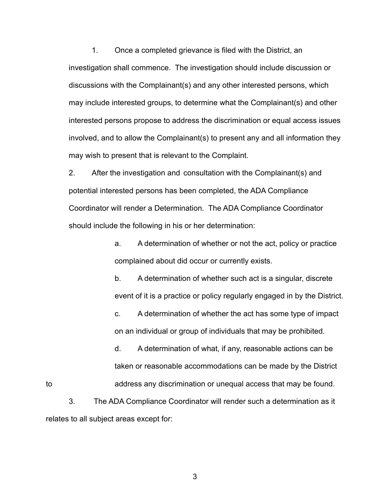1. Once a completed grievance is filed with the District, an investigation shall commence. The investigation should include discussion or discussions with the Complainant(s) and any other interested persons, which may include interested groups, to determine what the Complainant(s) and other interested persons propose to address the discrimination or equal access issues involved, and to allow the Complainant(s) to present any and all information they may wish to present that is relevant to the Complaint.

2. After the investigation and consultation with the Complainant(s) and potential interested persons has been completed, the ADA Compliance Coordinator will render a Determination. The ADA Compliance Coordinator should include the following in his or her determination:

> a. A determination of whether or not the act, policy or practice complained about did occur or currently exists.

b. A determination of whether such act is a singular, discrete event of it is a practice or policy regularly engaged in by the District.

c. A determination of whether the act has some type of impact on an individual or group of individuals that may be prohibited.

d. A determination of what, if any, reasonable actions can be taken or reasonable accommodations can be made by the District to address any discrimination or unequal access that may be found.

3. The ADA Compliance Coordinator will render such a determination as it relates to all subject areas except for:

3